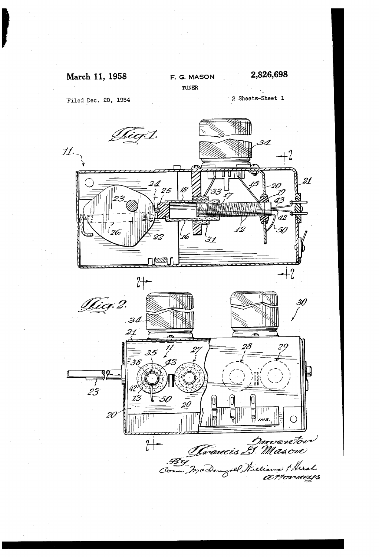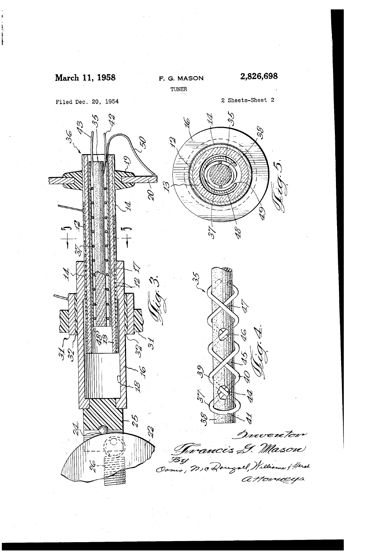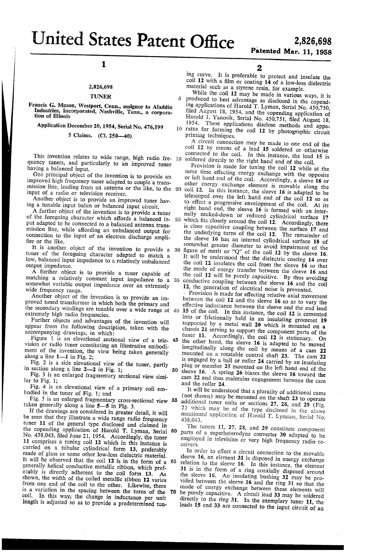United States Patent Office

2,826,698 Patented Mar. 11, 1958

# 1

### 2,826,693

#### TUNER

Francis G. Mason, Westport, Conn., assignor to Aladdin ' Industries, Incorporated, Nashville, Tenn., a corpora tion of Illinois

Application December 20, 1954, Serial No. 476,199

#### 5 Claims. (Cl. Z50-40)

This invention relates to wide range, high radio fre- 15 quency tuners, and particularly to an improved tuner

having a balanced input.<br>One principal object of the invention is to provide an improved high frequency tuner adapted to couple a transmission line, leading from an antenna or the like, to the 20 input of a radio or television receiver.

Another object is to provide an improved tuner hav ing a tunable input balun or balanced input circuit.

A further object of the invention is to provide a tuner of the foregoing character which affords a balanced in- 25 put adapted to be connected to a balanced antenna trans mission line, while affording an unbalanced output for connection to the input of an electron discharge ampli fier or the like.

tuner of the foregoing character adapted to match a low, balanced input impedance to a relatively unbalanced output impedance.

A further object is to provide a tuner capable of matching a relatively constant input impedance to a 35 somewhat variable output impedance over an extremely wide frequency range.

Another object of the invention is to provide an improved tuned transformer in which both the primary and the secondary windings are tunable over a wide range at 40 extremely high radio frequencies.

Further objects and advantages of the invention will appear from the following description, taken with the accompanying drawings, in which:

Figure 1 is an elevational sectional view of a tele- 45 vision or radio tuner constituting an illustrative embodi ment of the invention, the view being taken generally along a line  $1-1$  in Fig. 2;

Fig. 2 is a side elevational view of the tuner, partly in section along a line  $2-2$  in Fig. 1;

Fig. 3 is an enlarged fragmentary sectional view simi lar to Fig.  $1$ :

Fig. 4 is an elevational view of a primary coil em-<br>bodied in the tuner of Fig. 1; and

Fig. 3 is an enlarged fragmentary cross-sectional view 55 taken generally along a line 5-5 in Fig. 3.

If the drawings are considered in greater detail, it will be seen that they illustrate a wide range radio frequency tuner 11 of the general type disclosed and claimed in the copenaing application of Harold T. Lyman, Serial No. 438,043, filed June 21, 1954. Accordingly, the tuner 11 comprises a tuning coil 12 which in this instance is carried on a tubular cylindrical form 13, preferably made of glass or some other low-loss dielectric material. It will be observed that the coil 12 is in the form of a generally helical conductive metallic ribbon, which pref erably is directly adherent to the coil form 13. As shown, the width of the coiled metallic ribbon 12 varies from one end of the coil to the other. Likewise, there is a variation in the spacing between the turns of the coil. In this way, the change in inductance per unit length is adjusted so as to provide a predetermined tun 65 70 2

ing curve. It is preferable to protect and insulate the coil 12 with a film or coating  $14$  of a low-loss dielectric material such as a styrene resin, for example.

While the coil 12 may be made in various ways, it is produced to best advantage as disclosed in the copend ing applications of Harold T. Lyman, Serial No. 450,750, ñled August 18, 1954, and the copending application of Harold J. Yanosik, Serial No. 450,751, filed August 18,<br>1954. These applications disclose mathematical These applications disclose methods and appa-10 ratus for forming the coil 12 by photographic circuit printing techniques.

A circuit connection may be made to one end of the coil 12 by means of a lead 15 soldered or otherwise connected to the coil. In this instance, the lead 15 is soldered directly to the right hand end of the coil.<br>Provision is made for tuning the coil 12 while at the

It is another object of the invention to provide a 30 figure of merit or "Q" of the coil 12 by the sleeve 16.<br>ner of the foregoing character adapted to match a It will be understood that the dielectric coating 14 over same time effecting energy exchange with the opposite or left hand end of the coil. Accordingly, a sleeve  $16$  or other energy exchange element is movable along the coil 12. in this instance, the sleeve 16 is adapted to be telescoped over the left hand end of the coil 12 so as to effect a progressive envelopment of the coil. At its right hand end, the sleeve  $16$  is formed with an internally necked-down or reduced cylindrical surface 17 which fits closely around the coil  $12$ . Accordingly, there is close capacitive coupling between the surface 17 and the underlying turns of the coil 12. The remainder of the sleeve 16 has an internal cylindrical surface 18 of somewhat greater diameter to avoid impairment of the figure of merit or "Q" of the coil 12 by the sleeve 16. the coil 12 insulates the coil from the sleeve  $16$  so that the mode of energy transfer between the sleeve 16 and the coil 12 will be purely capacitive. By thus avoiding conductive coupling between the sleeve 16 and the coil 12, the generation of electrical noise is prevented.

50 sleeve 16. A spring 26 biases the sleeve 16 toward the Provision is made for effecting relative axial movement between the coil 12 and the sleeve 16 so as to vary the effective inductance between the sleeve and the end lead 15 of the coil. In this instance, the coil 12 is cemented into or frictionally held in an insulating grommet 19 supported by a metal wall  $20$  which is mounted on a chassis 21 serving to support the component parts of the tuner 11. Accordingly, the coil 12 is stationary. On the other hand, the sleeve 16 is adapted to be moved longitudinally along the coil by means of a cam 22 mounted on a rotatable control shaft 23. The cam 22 is engaged by a ball or roller 24 carried by an insulating plug or member 2S mounted on the left hand end of the sleeve 16. A spring 27 since 16. A spring 26 biases the sleeve 16 to 22 and thus maintains engagement between the cam and the roller 24.

It will be understood that a plurality of additional cams (not shown) may be mounted on the shaft 23 to operate additional tuner units or sections 27, 23, and 29 (Fig. 2) vhich may be of the type disclosed in the above mentioned application ol' Harold T. Lymans, Serial No. 438,043.

60 The tuners 11, 27, 23, and 29 constitute component parts of a superheterodyne converter 30 adapted to be employed in television or very high frequency radio re-

In order to effect a circuit connection to the movable sleeve 16, an element 31 is disposed in energy exchange relation to the sleeve 16. In this instance, the element 31 is in the form of a ring coaxially disposed around the sleeve 16. An insulating bushing 32 may be provided between the sleeve 16 and the ring 31 so that the mode of energy exchange between these elements will

be purely capacitive. A circuit lead 33 may be soldered directly to the ring 31. In the exemplary tuner 11, the leads 15 and 33 are connected to the input circuit of an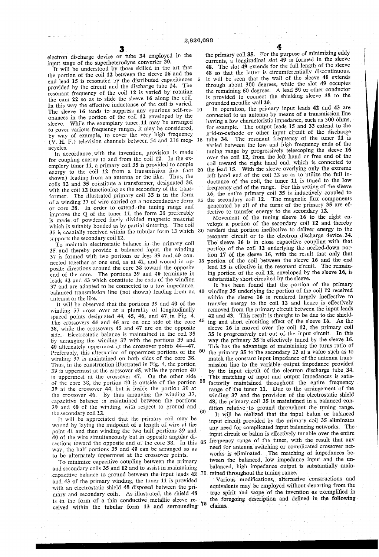$\overline{5}$ 

electron discharge device or tube 34 employed in the input stage of the superheterodyne converter 36.

It will be understood by those skilled in the art that the portion of the coil 12 between the sleeve 16 and the end lead 15 is resonated by the distributed capacitances provided by the circuit and the discharge tube 34. The resonant frequency of the coil 12 is varied by rotating the cam 22 so as to slide the sleeve 16 along the coil. In this way the effective inductance of the coil is varied.<br>The sleeve  $16$  tends to suppress any spurious self-resonances in the portion of the coil 12 enveloped by the sleeve. While the exemplary tuner 11 may be arranged to cover various frequency ranges, it may be considered, by way of example, to cover the very high frequency (V. H. F.) television channels between 54 and 216 meg acycles.

In accordance with the invention, provision is made for coupling energy to and from the coil 12. In the ex emplary tuner 11, a primary coil 35 is provided to couple energy to the coil  $12$  from a transmission line (not 20 shown) leading from an antenna or the like. Thus, the shown) leading from an antenna or the like. coils 12 and 35 constitute a transformer, designated 36, with the coil 12 functioning as the secondary of the transformer. The illustrated primary coil 35 is in the form and contained on a nonconductive form 25 of a winding 37 of wire carried on a nonconductive form or core 38. In order to extend the tuning range and improve the Q of the tuner 11, the form  $38$  preferably is made of powdered finely divided magnetic material which is suitably bonded as by partial sintering. The coil 35 is coaxialiy received within the tubular form 13 which 30 supports the secondary coil 12.

To maintain electrostatic balance in the primary coil 35 and thereby provide a balanced input, the winding 37 is formed with two portions or legs 39 and 40 connected together at one end, as at 41, and wound in op posite directions around the core 38 toward the opposite end of the core. The portions 39 and 40 terminate in leads 42 and 43 which constitute the ends of the winding 37 and are adapted to be connected to a low impedance, balanced transmission line (not shown) leading from an 40 antenna or the like.

lt will be observed that the portions 39 and 40 of the winding 37 cross over at a plurality of longitudinally spaced points designated 44, 45, 46, and 47 in Fig. 4. The crossovers 44 and 46 are on one side of the core  $45$ 38, while the Crossovers 45 and 47 are on the opposite side. Electrostatic balance is maintained in the coil 35 by arranging the winding 37 with the portions 39 and 40 alternately uppermost at the crossover points 44-47. Preferably, this alternation of uppermost portions of the <sup>50</sup> Winding 37 is maintained on both sides of the core 38. Thus, in the construction illustrated in Fig. 4, the portion 39 is uppermost at the crossover 4S, while the portion 49 is uppermost at the crossover 47. On the other side of the core 38, the portion 40 is outside of the portion  $55$ 39 at the crossover 44, but is inside the portion 39 at the crossover 46. By thus arranging the winding 37, capacitive balance is maintained between the portions 39 and 40 of the winding, with respect to ground and the secondary coil 12.

it will be appreciated that the primary coil may be wound by laying the midpoint of a length of wire at the point 41 and then winding the two half portions 39 and 40 of the wire simultaneously but in opposite angular directions toward the opposite end of the core 33. In this way, the half portions 39 and 40 can be arranged so as to be alternately uppermost at the crossover points.

To minimize capacitive coupling between the primary and secondary coils 35 and 12 and to assist in maintaining capacitive balance to ground between the input leads 42 and 43 of the primary winding, the tuner 11 is provided with an electrostatic shield 48 disposed between the pri mary and secondary coils. As illustrated, the shield 48 is in the form of a thin conductive metallic sleeve re res in the form of a time conductive inclusive reserve to respect to the ceived within the tubular form 13 and surrounding 75

 $\frac{4}{10}$  the primary coil 35. For the purpose of minimizing eddy currents, a longitudinal slot 49 is formed in the sleeve 48. The slot  $49$  extends for the full length of the sleeve 4S so that the latter is circumferentially discontinuous. It will be seen that the wall of the sleeve 48 extends through about 300 degrees, while the slot 49 occupies the remaining 60 degrees. A lead 56 or other conductor is provided to connect the shielding sleeve 43 to the

grounded metallic wall 20.<br>In operation, the primary input leads 42 and 43 are connected to an antenna by means of a transmission line having a low characteristic impedance, such as 300 ohms, for example. The output leads 15 and 33 extend to the grid-to-cathode or other input circuit of the discharge tube 34. The resonant frequency of the tuner 11 is varied between the low and high frequency ends of the tuning range by progressively telescoping the sleeve 16 over the coil 12, from the left hand or free end of the coil toward the right hand end, Which is connected to the lead 15. With the sleeve overlying only the extreme left hand end of the coil 12 so as to utilize the full in duetance of the coil, the tuner 11 is tuned to the low frequency end of the range. For this setting of the sleeve 16, the entire primary coil 35 is inductively coupled to the secondary coil 12. The magnetic flux components generated by all of the turns of the primary 35 are effective to transfer energy to the secondary 12.

Movement of the tuning sleeve 16 to the right en velops a portion of the secondary coil 12 and thereby renders that portion ineffective to deliver energy to the resonant circuit or to the electron discharge device 34. The sleeve 16 is in close capacitive coupling with that portion of the coil 12 underlying the necked-down por tion 17 of the sleeve 16, with the result that only that portion of the coil between the sleeve 16 and the end lead 15 is effective in the resonant circuit. The remaining portion of the coil 12, enveloped by the sleeve 16, is substantially short circuited by the sleeve.

60 It has been found that the portion of the primary winding 35 underlying the portion of the coil 12 received within the sleeve 16 is rendered largely ineffective to transfer energy to the coil 12 and hence is effectively removed from the primary circuit between the input leads 42 and 43. This result is thought to be due to the shield ing and short circuiting effect of the sleeve 16. As the sleeve 16 is moved over the coil 12, the primary coil 35 is progressively cut out of the input circuit. In this way the primary 35 is effectively tuned by the sleeve 16. This has the advantage of maintaining the turns ratio of the primary 35 to the secondary 12 at a value such as to match the constant input impedance of the antenna transmission line to the variable output impedance provided by the input circuit of the electron discharge tube 34. This matching of input and output impedances is satis factorily maintained throughout the entire frequency<br>range of the tuner 11. Due to the arrangement of the winding 37 and the provision of the electrostatic shield 48, the primary coil 35 is maintained in a balanced con dition relative to ground throughout the tuning range.

65 70 tained throughout the tuning range. It will be realized that the input balun or balanced input circuit provided by the primary coil 35 eliminates any need for complicated input balancing networks. The input circuit or balun is effectively tunable over the entire frequency range of the tuner, with the result that any need for antenna switching or complicated crossover net works is eliminated. The matching of impedances be tween the balanced, low impedance input and the un balanced, high impedance output is substantially maiu

`Various modifications, alternative constructions and equivalents may be employed without departing from the true spirit and scope of the invention as exemplified in the foregoing description and defined in the following claims. The contract of the contract of the contract of the contract of the contract of the contract of the contract of the contract of the contract of the contract of the contract of the contract of the contract of the co